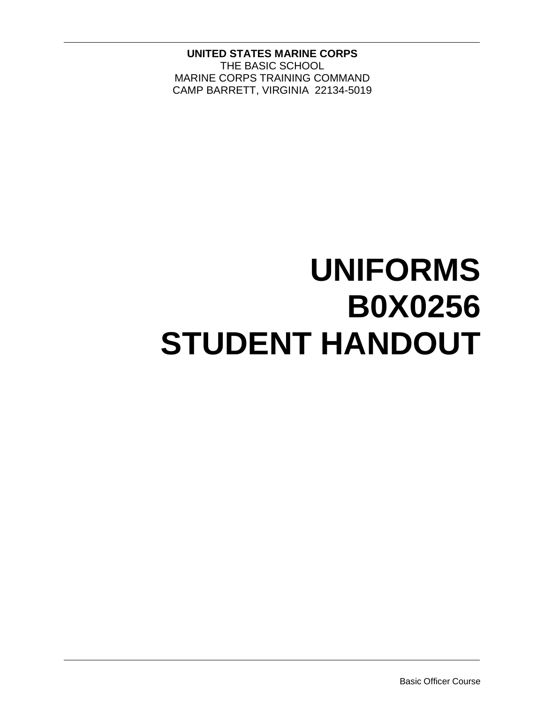**UNITED STATES MARINE CORPS** THE BASIC SCHOOL MARINE CORPS TRAINING COMMAND CAMP BARRETT, VIRGINIA 22134-5019

# **UNIFORMS B0X0256 STUDENT HANDOUT**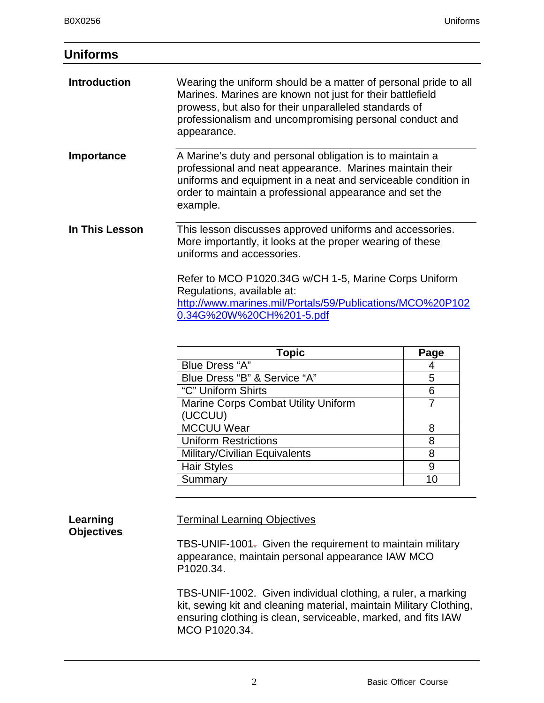## **Uniforms**

|                | uniforms and equipment in a neat and serviceable condition in<br>order to maintain a professional appearance and set the                           |                   |
|----------------|----------------------------------------------------------------------------------------------------------------------------------------------------|-------------------|
|                | example.                                                                                                                                           |                   |
| In This Lesson | This lesson discusses approved uniforms and accessories.<br>More importantly, it looks at the proper wearing of these<br>uniforms and accessories. |                   |
|                | Refer to MCO P1020.34G w/CH 1-5, Marine Corps Uniform                                                                                              |                   |
|                | http://www.marines.mil/Portals/59/Publications/MCO%20P102                                                                                          |                   |
|                | Regulations, available at:<br>0.34G%20W%20CH%201-5.pdf                                                                                             |                   |
|                |                                                                                                                                                    |                   |
|                | <b>Topic</b><br>$Blue$ Drace " $\Delta$ "                                                                                                          | Page<br>$\Lambda$ |

| I ODIC                                     | rage |
|--------------------------------------------|------|
| <b>Blue Dress "A"</b>                      |      |
| Blue Dress "B" & Service "A"               | 5    |
| "C" Uniform Shirts                         | 6    |
| <b>Marine Corps Combat Utility Uniform</b> |      |
| (UCCUU)                                    |      |
| <b>MCCUU Wear</b>                          | 8    |
| <b>Uniform Restrictions</b>                | 8    |
| Military/Civilian Equivalents              | 8    |
| <b>Hair Styles</b>                         | 9    |
| Summary                                    |      |

### **Learning Objectives**

## Terminal Learning Objectives

TBS-UNIF-1001. Given the requirement to maintain military appearance, maintain personal appearance IAW MCO P1020.34.

TBS-UNIF-1002. Given individual clothing, a ruler, a marking kit, sewing kit and cleaning material, maintain Military Clothing, ensuring clothing is clean, serviceable, marked, and fits IAW MCO P1020.34.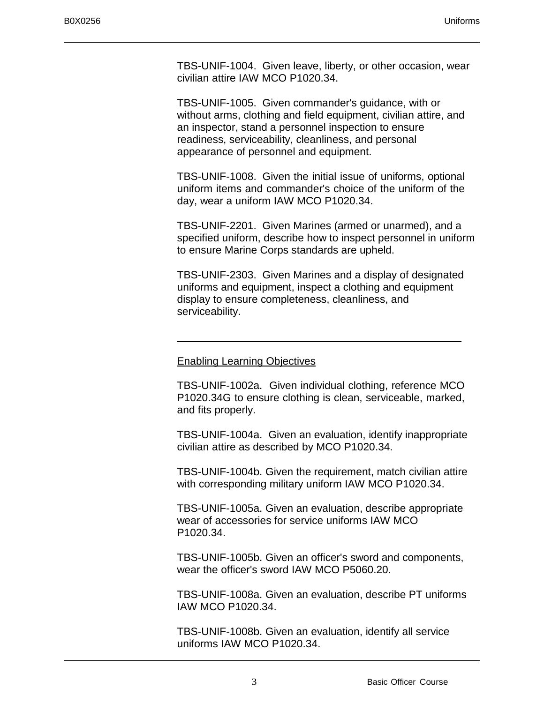TBS-UNIF-1004. Given leave, liberty, or other occasion, wear civilian attire IAW MCO P1020.34.

TBS-UNIF-1005. Given commander's guidance, with or without arms, clothing and field equipment, civilian attire, and an inspector, stand a personnel inspection to ensure readiness, serviceability, cleanliness, and personal appearance of personnel and equipment.

TBS-UNIF-1008. Given the initial issue of uniforms, optional uniform items and commander's choice of the uniform of the day, wear a uniform IAW MCO P1020.34.

TBS-UNIF-2201. Given Marines (armed or unarmed), and a specified uniform, describe how to inspect personnel in uniform to ensure Marine Corps standards are upheld.

TBS-UNIF-2303. Given Marines and a display of designated uniforms and equipment, inspect a clothing and equipment display to ensure completeness, cleanliness, and serviceability.

### Enabling Learning Objectives

TBS-UNIF-1002a. Given individual clothing, reference MCO P1020.34G to ensure clothing is clean, serviceable, marked, and fits properly.

TBS-UNIF-1004a. Given an evaluation, identify inappropriate civilian attire as described by MCO P1020.34.

TBS-UNIF-1004b. Given the requirement, match civilian attire with corresponding military uniform IAW MCO P1020.34.

TBS-UNIF-1005a. Given an evaluation, describe appropriate wear of accessories for service uniforms IAW MCO P1020.34.

TBS-UNIF-1005b. Given an officer's sword and components, wear the officer's sword IAW MCO P5060.20.

TBS-UNIF-1008a. Given an evaluation, describe PT uniforms IAW MCO P1020.34.

TBS-UNIF-1008b. Given an evaluation, identify all service uniforms IAW MCO P1020.34.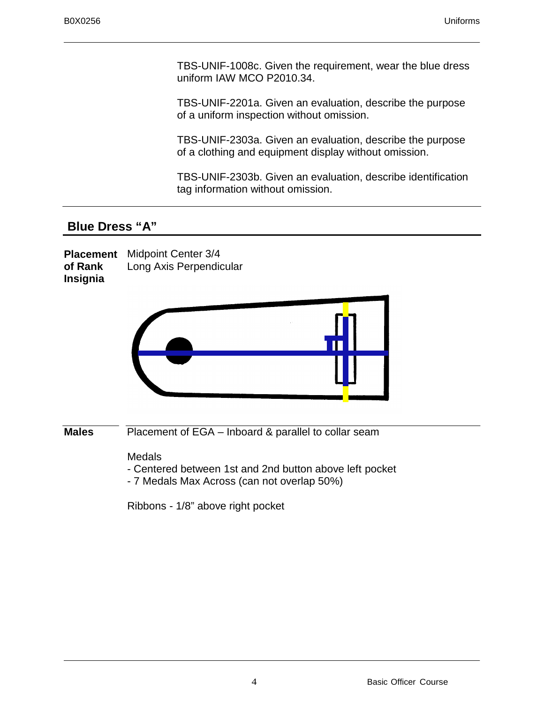TBS-UNIF-1008c. Given the requirement, wear the blue dress uniform IAW MCO P2010.34.

TBS-UNIF-2201a. Given an evaluation, describe the purpose of a uniform inspection without omission.

TBS-UNIF-2303a. Given an evaluation, describe the purpose of a clothing and equipment display without omission.

TBS-UNIF-2303b. Given an evaluation, describe identification tag information without omission.

## **Blue Dress "A"**

**Placement**  Midpoint Center 3/4 **of Rank Insignia** Long Axis Perpendicular



| <b>Males</b><br>Placement of EGA – Inboard & parallel to collar seam |  |
|----------------------------------------------------------------------|--|
|----------------------------------------------------------------------|--|

**Medals** 

- Centered between 1st and 2nd button above left pocket
- 7 Medals Max Across (can not overlap 50%)

Ribbons - 1/8" above right pocket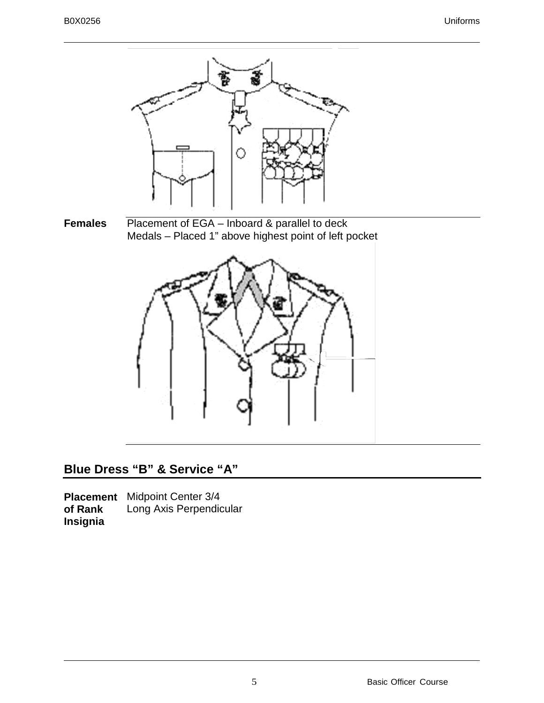

# **Blue Dress "B" & Service "A"**

**Placement**  Midpoint Center 3/4 **of Rank Insignia** Long Axis Perpendicular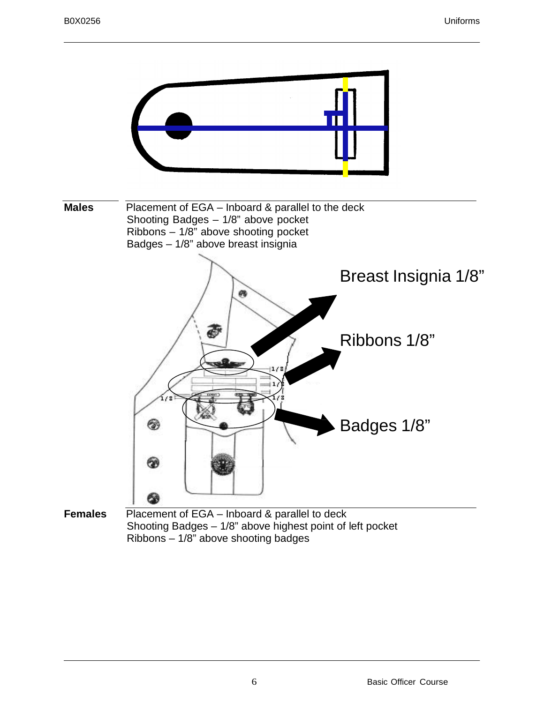

Ribbons – 1/8" above shooting badges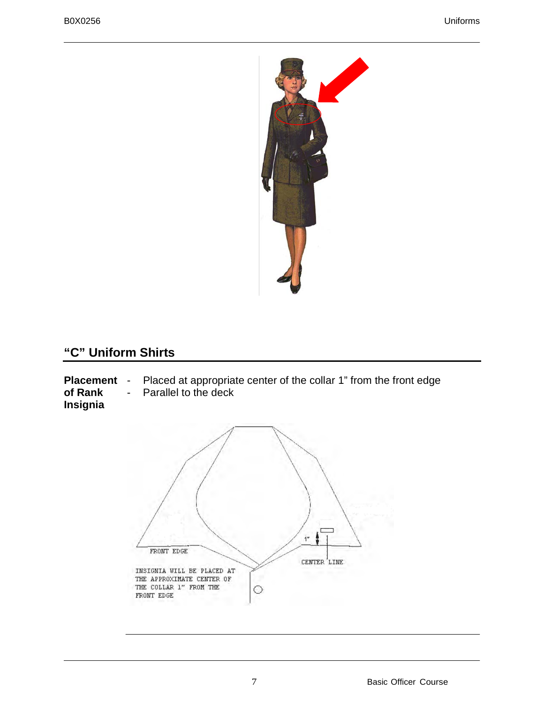

# **"C" Uniform Shirts**

**Placement of Rank Insignia** - Placed at appropriate center of the collar 1" from the front edge - Parallel to the deck

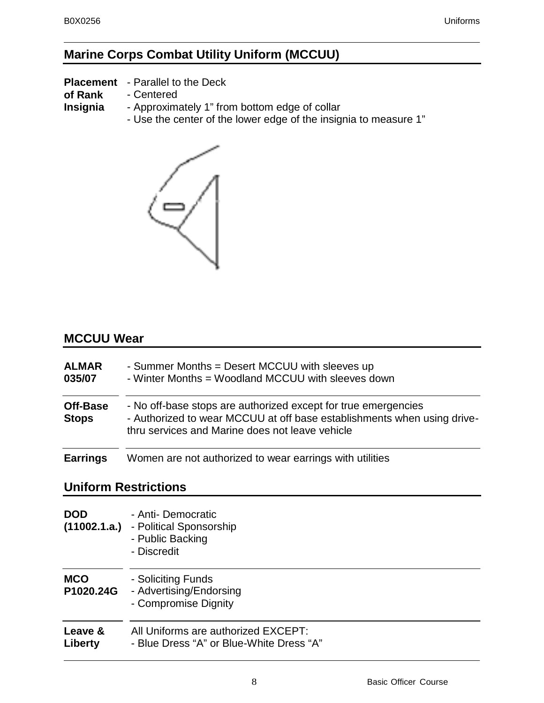# **Marine Corps Combat Utility Uniform (MCCUU)**

**Placement**  - Parallel to the Deck

**of Rank**  - Centered

**Insignia** - Approximately 1" from bottom edge of collar

- Use the center of the lower edge of the insignia to measure 1"



## **MCCUU Wear**

| <b>ALMAR</b><br>035/07   | - Summer Months = Desert MCCUU with sleeves up<br>- Winter Months = Woodland MCCUU with sleeves down                                                                                         |
|--------------------------|----------------------------------------------------------------------------------------------------------------------------------------------------------------------------------------------|
| Off-Base<br><b>Stops</b> | - No off-base stops are authorized except for true emergencies<br>- Authorized to wear MCCUU at off base establishments when using drive-<br>thru services and Marine does not leave vehicle |
| <b>Earrings</b>          | Women are not authorized to wear earrings with utilities                                                                                                                                     |

## **Uniform Restrictions**

| <b>DOD</b><br>(11002.1.a.) | - Anti- Democratic<br>- Political Sponsorship<br>- Public Backing<br>- Discredit |
|----------------------------|----------------------------------------------------------------------------------|
| <b>MCO</b><br>P1020.24G    | - Soliciting Funds<br>- Advertising/Endorsing<br>- Compromise Dignity            |
| Leave &<br>Liberty         | All Uniforms are authorized EXCEPT:<br>- Blue Dress "A" or Blue-White Dress "A"  |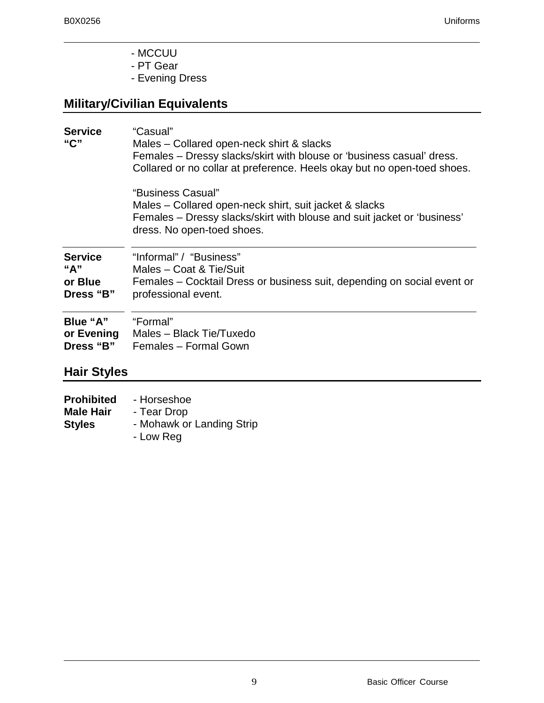- MCCUU
- PT Gear
- Evening Dress

# **Military/Civilian Equivalents**

| <b>Service</b>     | "Casual"                                                                |
|--------------------|-------------------------------------------------------------------------|
| "C"                | Males – Collared open-neck shirt & slacks                               |
|                    | Females – Dressy slacks/skirt with blouse or 'business casual' dress.   |
|                    | Collared or no collar at preference. Heels okay but no open-toed shoes. |
|                    | "Business Casual"                                                       |
|                    | Males – Collared open-neck shirt, suit jacket & slacks                  |
|                    | Females – Dressy slacks/skirt with blouse and suit jacket or 'business' |
|                    | dress. No open-toed shoes.                                              |
| <b>Service</b>     | "Informal" / "Business"                                                 |
| "A"                | Males - Coat & Tie/Suit                                                 |
| or Blue            | Females - Cocktail Dress or business suit, depending on social event or |
| Dress "B"          | professional event.                                                     |
| Blue "A"           | "Formal"                                                                |
| or Evening         | Males - Black Tie/Tuxedo                                                |
| Dress "B"          | Females - Formal Gown                                                   |
| <b>Hair Styles</b> |                                                                         |

| <b>Prohibited</b> | - Horseshoe               |
|-------------------|---------------------------|
| <b>Male Hair</b>  | - Tear Drop               |
| <b>Styles</b>     | - Mohawk or Landing Strip |
|                   | - Low Reg                 |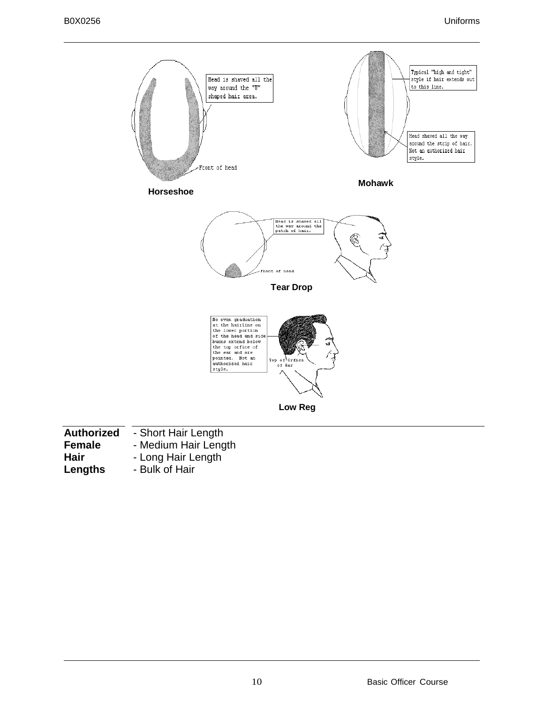

| <b>Authorized</b> | - Short Hair Length  |
|-------------------|----------------------|
| <b>Female</b>     | - Medium Hair Length |
| Hair              | - Long Hair Length   |
| Lengths           | - Bulk of Hair       |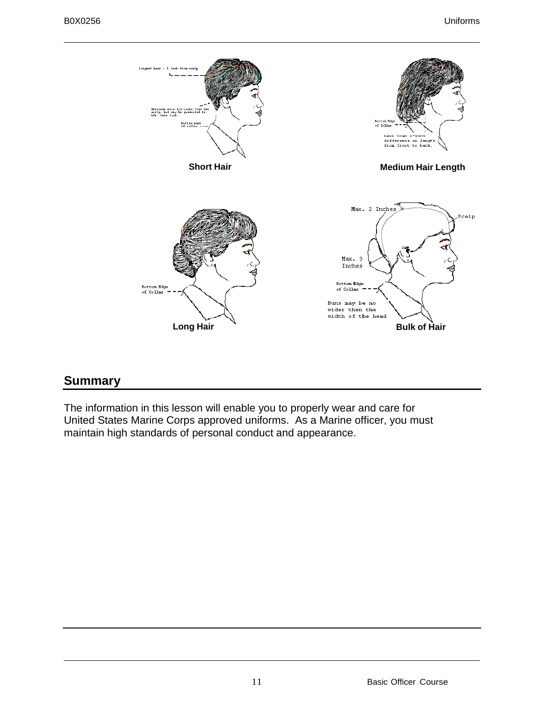

# **Summary**

The information in this lesson will enable you to properly wear and care for United States Marine Corps approved uniforms. As a Marine officer, you must maintain high standards of personal conduct and appearance.